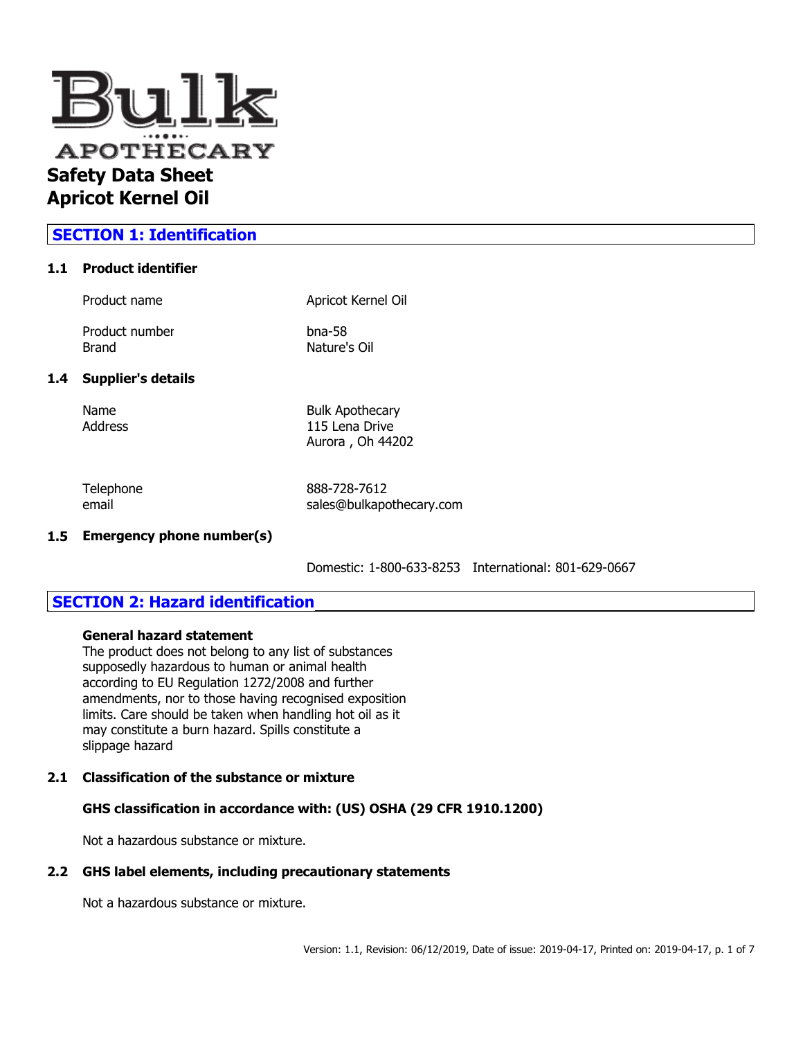

### **SECTION 1: Identification**

### **1.1 Product identifier**

| Product name              | Apricot Kernel Oil        |
|---------------------------|---------------------------|
| Product number<br>Brand   | $b$ na-58<br>Nature's Oil |
| <b>Supplier's details</b> |                           |
| Name                      | <b>Bulk Apothecary</b>    |

 $1.4$ 

Address 115 Lena Drive Aurora , Oh 44202

Telephone 888-728-7612 email sales@bulkapothecary.com

### **1.5 Emergency phone number(s)**

Domestic: 1-800-633-8253 International: 801-629-0667

### **SECTION 2: Hazard identification**

### **General hazard statement**

The product does not belong to any list of substances supposedly hazardous to human or animal health according to EU Regulation 1272/2008 and further amendments, nor to those having recognised exposition limits. Care should be taken when handling hot oil as it may constitute a burn hazard. Spills constitute a slippage hazard

### **2.1 Classification of the substance or mixture**

### **GHS classification in accordance with: (US) OSHA (29 CFR 1910.1200)**

Not a hazardous substance or mixture.

#### **2.2 GHS label elements, including precautionary statements**

Not a hazardous substance or mixture.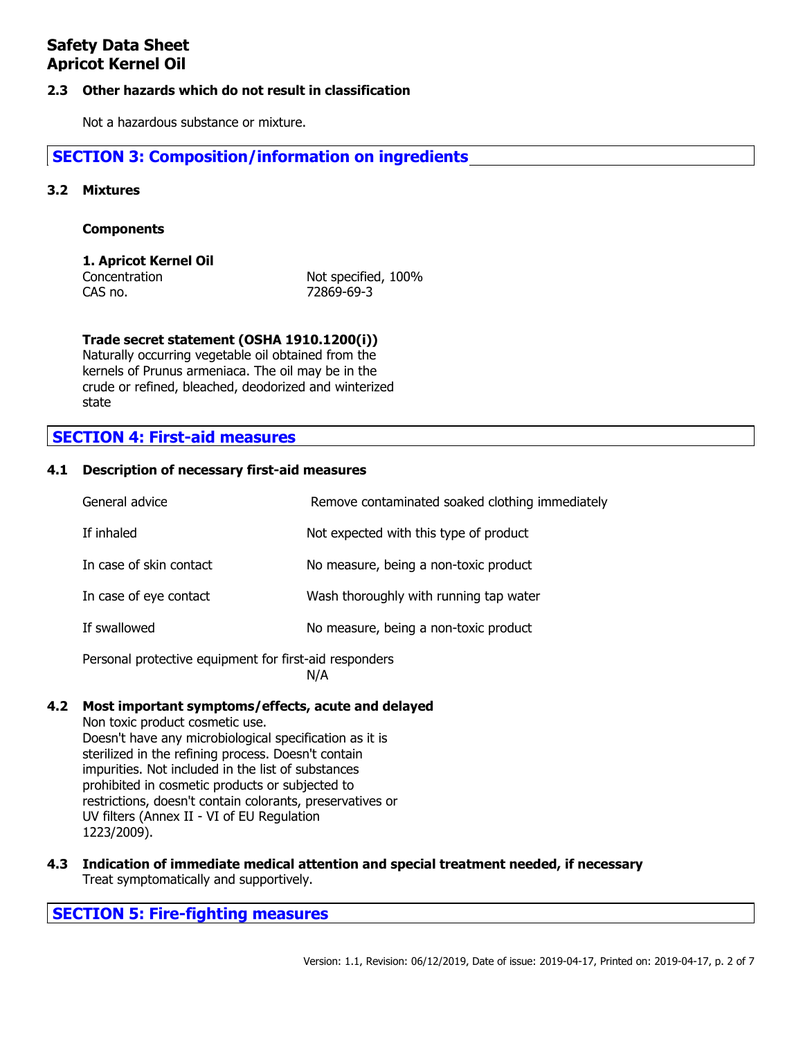### **2.3 Other hazards which do not result in classification**

Not a hazardous substance or mixture.

### **SECTION 3: Composition/information on ingredients**

### **3.2 Mixtures**

### **Components**

### **1. Apricot Kernel Oil**

Concentration Not specified, 100% CAS no. 72869-69-3

### **Trade secret statement (OSHA 1910.1200(i))**

Naturally occurring vegetable oil obtained from the kernels of Prunus armeniaca. The oil may be in the crude or refined, bleached, deodorized and winterized state

### **SECTION 4: First-aid measures**

#### **4.1 Description of necessary first-aid measures**

| General advice                                         | Remove contaminated soaked clothing immediately |
|--------------------------------------------------------|-------------------------------------------------|
| If inhaled                                             | Not expected with this type of product          |
| In case of skin contact                                | No measure, being a non-toxic product           |
| In case of eye contact                                 | Wash thoroughly with running tap water          |
| If swallowed                                           | No measure, being a non-toxic product           |
| Personal protective equipment for first-aid responders |                                                 |

N/A

#### **4.2 Most important symptoms/effects, acute and delayed**

Non toxic product cosmetic use. Doesn't have any microbiological specification as it is sterilized in the refining process. Doesn't contain impurities. Not included in the list of substances prohibited in cosmetic products or subjected to restrictions, doesn't contain colorants, preservatives or UV filters (Annex II - VI of EU Regulation 1223/2009).

**4.3 Indication of immediate medical attention and special treatment needed, if necessary** Treat symptomatically and supportively.

**SECTION 5: Fire-fighting measures**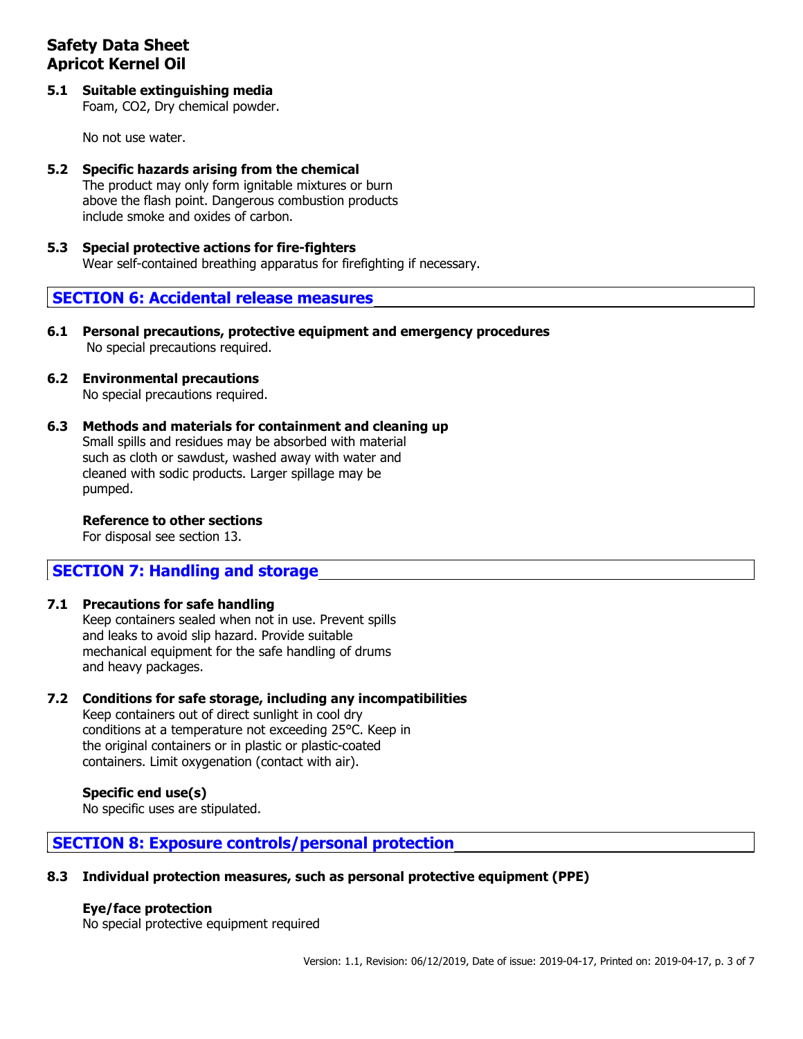**5.1 Suitable extinguishing media** Foam, CO2, Dry chemical powder.

No not use water.

- **5.2 Specific hazards arising from the chemical** The product may only form ignitable mixtures or burn above the flash point. Dangerous combustion products include smoke and oxides of carbon.
- **5.3 Special protective actions for fire-fighters** Wear self-contained breathing apparatus for firefighting if necessary.

### **SECTION 6: Accidental release measures**

- **6.1 Personal precautions, protective equipment and emergency procedures** No special precautions required.
- **6.2 Environmental precautions** No special precautions required.
- **6.3 Methods and materials for containment and cleaning up** Small spills and residues may be absorbed with material such as cloth or sawdust, washed away with water and cleaned with sodic products. Larger spillage may be pumped.

### **Reference to other sections**

For disposal see section 13.

### **SECTION 7: Handling and storage**

### **7.1 Precautions for safe handling**

Keep containers sealed when not in use. Prevent spills and leaks to avoid slip hazard. Provide suitable mechanical equipment for the safe handling of drums and heavy packages.

### **7.2 Conditions for safe storage, including any incompatibilities**

Keep containers out of direct sunlight in cool dry conditions at a temperature not exceeding 25°C. Keep in the original containers or in plastic or plastic-coated containers. Limit oxygenation (contact with air).

### **Specific end use(s)**

No specific uses are stipulated.

### **SECTION 8: Exposure controls/personal protection**

### **8.3 Individual protection measures, such as personal protective equipment (PPE)**

### **Eye/face protection**

No special protective equipment required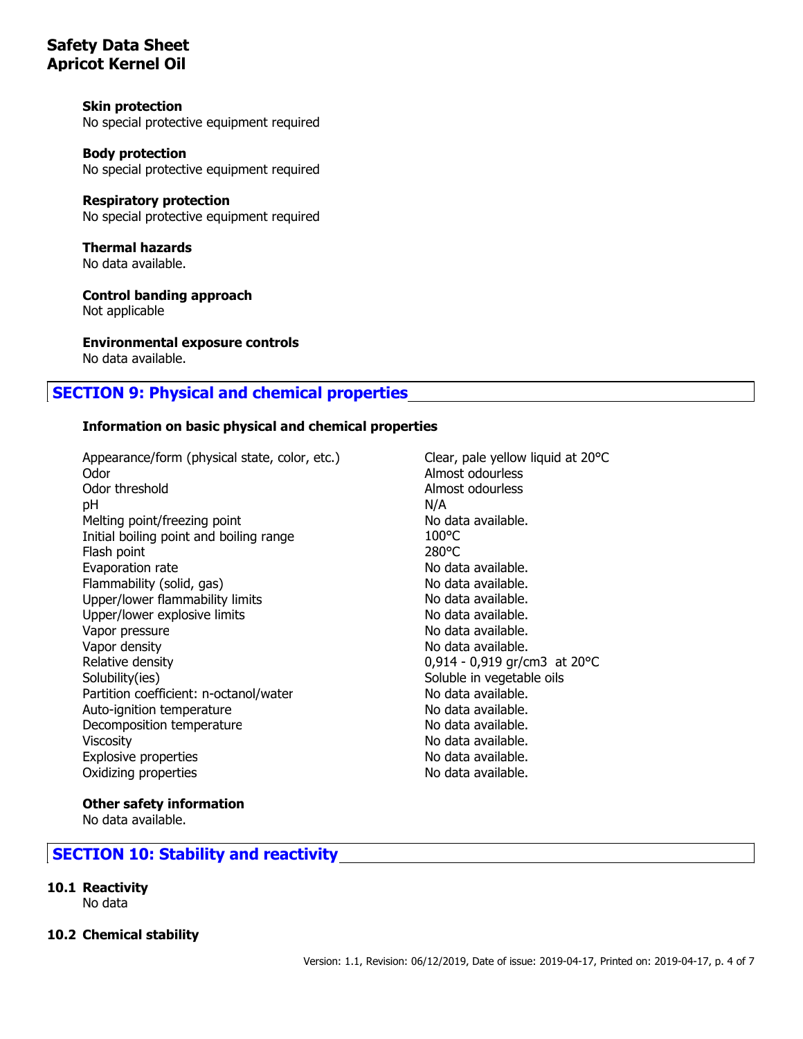### **Skin protection**

No special protective equipment required

#### **Body protection**

No special protective equipment required

### **Respiratory protection**

No special protective equipment required

**Thermal hazards** No data available.

**Control banding approach** Not applicable

**Environmental exposure controls** No data available.

# **SECTION 9: Physical and chemical properties**

### **Information on basic physical and chemical properties**

Appearance/form (physical state, color, etc.) Clear, pale yellow liquid at 20°C Odor **Almost odourless** Odor threshold **Almost odourless** pH N/A Melting point/freezing point No data available. Initial boiling point and boiling range 100°C Flash point 280°C Evaporation rate **No assume that the Contract Contract available.** No data available. Flammability (solid, gas) No data available. Upper/lower flammability limits No data available. Upper/lower explosive limits No data available. Vapor pressure No data available. Vapor density and the same of the state of the No data available. Relative density 0,914 - 0,919 gr/cm3 at 20°C Solubility(ies) Soluble in vegetable oils Partition coefficient: n-octanol/water No data available. Auto-ignition temperature No data available. Decomposition temperature No data available. Viscosity **No. 2018** Viscosity **No. 2018** 2019 12:30 No. 4 (No. 4 available.) Explosive properties and the set of the set of the No data available. Oxidizing properties and the state of the No data available.

#### **Other safety information**

No data available.

### **SECTION 10: Stability and reactivity**

- **10.1 Reactivity**
	- No data
- **10.2 Chemical stability**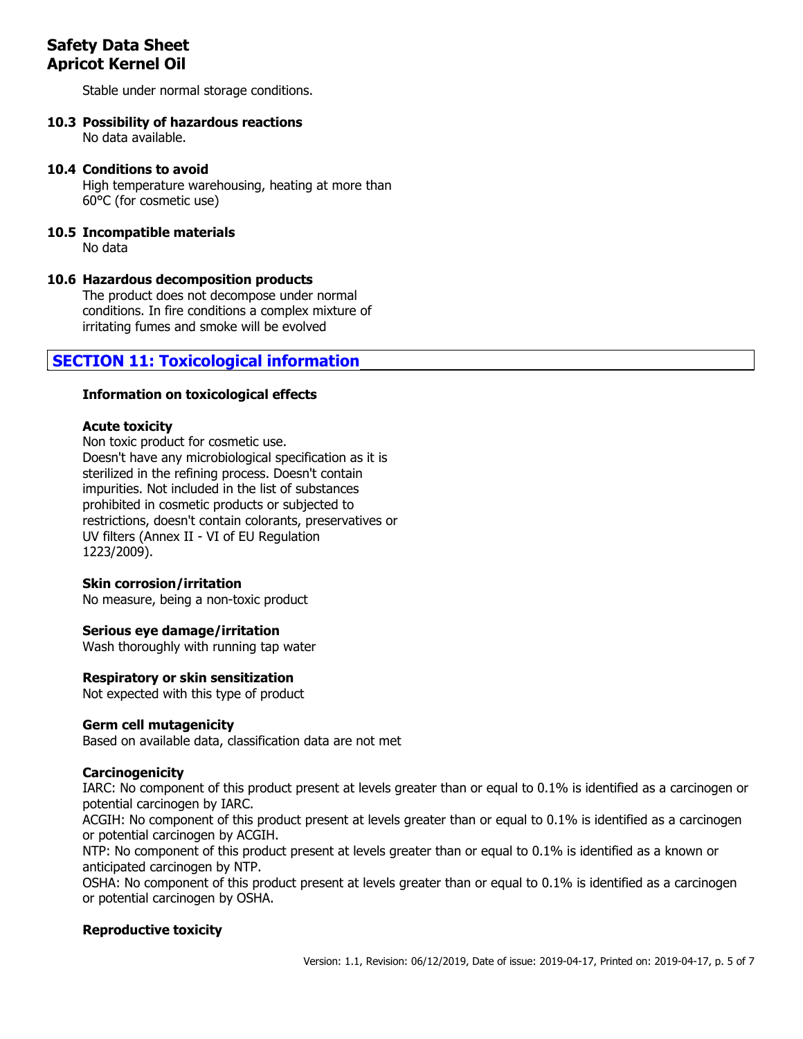Stable under normal storage conditions.

### **10.3 Possibility of hazardous reactions**

No data available.

### **10.4 Conditions to avoid**

High temperature warehousing, heating at more than 60°C (for cosmetic use)

#### **10.5 Incompatible materials** No data

### **10.6 Hazardous decomposition products**

The product does not decompose under normal conditions. In fire conditions a complex mixture of irritating fumes and smoke will be evolved

### **SECTION 11: Toxicological information**

### **Information on toxicological effects**

### **Acute toxicity**

Non toxic product for cosmetic use. Doesn't have any microbiological specification as it is sterilized in the refining process. Doesn't contain impurities. Not included in the list of substances prohibited in cosmetic products or subjected to restrictions, doesn't contain colorants, preservatives or UV filters (Annex II - VI of EU Regulation 1223/2009).

### **Skin corrosion/irritation**

No measure, being a non-toxic product

### **Serious eye damage/irritation**

Wash thoroughly with running tap water

### **Respiratory or skin sensitization**

Not expected with this type of product

### **Germ cell mutagenicity**

Based on available data, classification data are not met

### **Carcinogenicity**

IARC: No component of this product present at levels greater than or equal to 0.1% is identified as a carcinogen or potential carcinogen by IARC.

ACGIH: No component of this product present at levels greater than or equal to 0.1% is identified as a carcinogen or potential carcinogen by ACGIH.

NTP: No component of this product present at levels greater than or equal to 0.1% is identified as a known or anticipated carcinogen by NTP.

OSHA: No component of this product present at levels greater than or equal to 0.1% is identified as a carcinogen or potential carcinogen by OSHA.

### **Reproductive toxicity**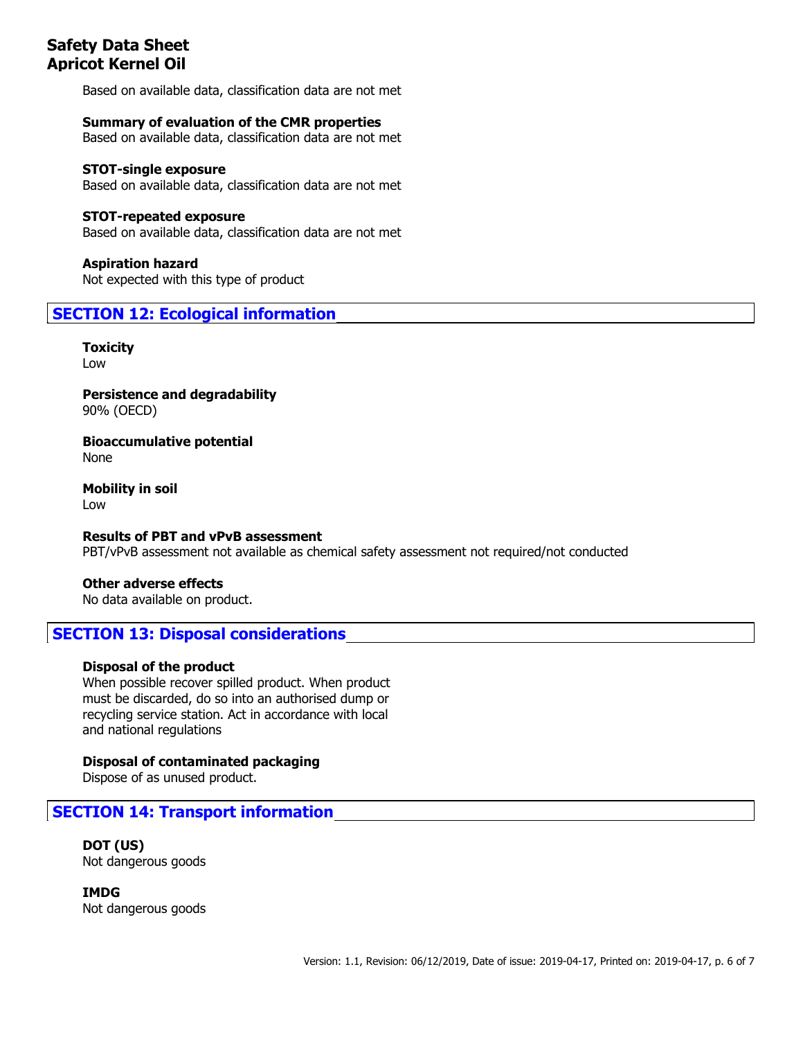Based on available data, classification data are not met

**Summary of evaluation of the CMR properties** Based on available data, classification data are not met

**STOT-single exposure** Based on available data, classification data are not met

**STOT-repeated exposure** Based on available data, classification data are not met

**Aspiration hazard** Not expected with this type of product

**SECTION 12: Ecological information**

**Toxicity** Low

**Persistence and degradability** 90% (OECD)

**Bioaccumulative potential** None

**Mobility in soil** Low

**Results of PBT and vPvB assessment** PBT/vPvB assessment not available as chemical safety assessment not required/not conducted

**Other adverse effects**

No data available on product.

### **SECTION 13: Disposal considerations**

#### **Disposal of the product**

When possible recover spilled product. When product must be discarded, do so into an authorised dump or recycling service station. Act in accordance with local and national regulations

**Disposal of contaminated packaging**

Dispose of as unused product.

**SECTION 14: Transport information**

**DOT (US)** Not dangerous goods

**IMDG** Not dangerous goods